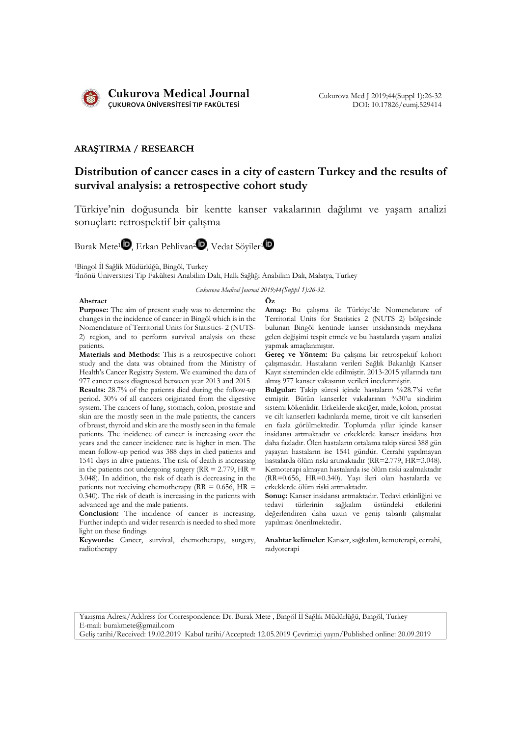

# **ARAŞTIRMA / RESEARCH**

# **Distribution of cancer cases in a city of eastern Turkey and the results of survival analysis: a retrospective cohort study**

Türkiye'nin doğusunda bir kentte kanser vakalarının dağılımı ve yaşam analizi sonuçları: retrospektif bir çalışma

Burak Mete<sup>[1](https://orcid.org/0000-0002-7635-787X)</sup> $\mathbf{D}$ , Erkan Pehlivan<sup>[2](https://orcid.org/0000-0002-4361-3355)</sup> $\mathbf{D}$ , Vedat Söyiler<sup>1</sup> $\mathbf{D}$ 

<sup>1</sup>Bingol İl Sağlik Müdürlüğü, Bingöl, Turkey

<sup>2</sup>İnönü Üniversitesi Tip Fakültesi Anabilim Dalı, Halk Sağlığı Anabilim Dalı, Malatya, Turkey

*Cukurova Medical Journal 2019;44(Suppl 1):26-32.*

### **Abstract Öz**

**Purpose:** The aim of present study was to determine the changes in the incidence of cancer in Bingöl which is in the Nomenclature of Territorial Units for Statistics- 2 (NUTS-2) region, and to perform survival analysis on these patients.

**Materials and Methods:** This is a retrospective cohort study and the data was obtained from the Ministry of Health's Cancer Registry System. We examined the data of 977 cancer cases diagnosed between year 2013 and 2015

**Results:** 28.7% of the patients died during the follow-up period. 30% of all cancers originated from the digestive system. The cancers of lung, stomach, colon, prostate and skin are the mostly seen in the male patients, the cancers of breast, thyroid and skin are the mostly seen in the female patients. The incidence of cancer is increasing over the years and the cancer incidence rate is higher in men. The mean follow-up period was 388 days in died patients and 1541 days in alive patients. The risk of death is increasing in the patients not undergoing surgery ( $RR = 2.779$ ,  $HR =$ 3.048). In addition, the risk of death is decreasing in the patients not receiving chemotherapy ( $RR = 0.656$ ,  $HR =$ 0.340). The risk of death is increasing in the patients with advanced age and the male patients.

**Conclusion:** The incidence of cancer is increasing. Further indepth and wider research is needed to shed more light on these findings

**Keywords:** Cancer, survival, chemotherapy, surgery, radiotherapy

**Amaç:** Bu çalışma ile Türkiye'de Nomenclature of Territorial Units for Statistics 2 (NUTS 2) bölgesinde bulunan Bingöl kentinde kanser insidansında meydana gelen değişimi tespit etmek ve bu hastalarda yaşam analizi yapmak amaçlanmıştır.

**Gereç ve Yöntem:** Bu çalışma bir retrospektif kohort çalışmasıdır. Hastaların verileri Sağlık Bakanlığı Kanser Kayıt sisteminden elde edilmiştir. 2013-2015 yıllarında tanı almış 977 kanser vakasının verileri incelenmiştir.

**Bulgular:** Takip süresi içinde hastaların %28.7'si vefat etmiştir. Bütün kanserler vakalarının %30'u sindirim sistemi kökenlidir. Erkeklerde akciğer, mide, kolon, prostat ve cilt kanserleri kadınlarda meme, tiroit ve cilt kanserleri en fazla görülmektedir. Toplumda yıllar içinde kanser insidansı artmaktadır ve erkeklerde kanser insidans hızı daha fazladır. Ölen hastaların ortalama takip süresi 388 gün yaşayan hastaların ise 1541 gündür. Cerrahi yapılmayan hastalarda ölüm riski artmaktadır (RR=2.779, HR=3.048). Kemoterapi almayan hastalarda ise ölüm riski azalmaktadır (RR=0.656, HR=0.340). Yaşı ileri olan hastalarda ve erkeklerde ölüm riski artmaktadır.

**Sonuç:** Kanser insidansı artmaktadır. Tedavi etkinliğini ve tedavi türlerinin sağkalım üstündeki değerlendiren daha uzun ve geniş tabanlı çalışmalar yapılması önerilmektedir.

**Anahtar kelimeler**: Kanser, sağkalım, kemoterapi, cerrahi, radyoterapi

Yazışma Adresi/Address for Correspondence: Dr. Burak Mete , Bingöl İl Sağlık Müdürlüğü, Bingöl, Turkey E-mail: burakmete@gmail.com Geliş tarihi/Received: 19.02.2019 Kabul tarihi/Accepted: 12.05.2019 Çevrimiçi yayın/Published online: 20.09.2019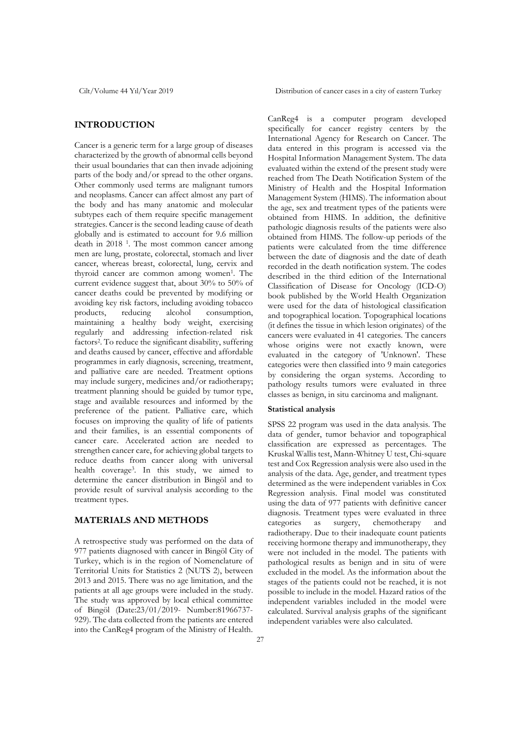# **INTRODUCTION**

Cancer is a generic term for a large group of diseases characterized by the growth of abnormal cells beyond their usual boundaries that can then invade adjoining parts of the body and/or spread to the other organs. Other commonly used terms are malignant tumors and neoplasms. Cancer can affect almost any part of the body and has many anatomic and molecular subtypes each of them require specific management strategies. Cancer is the second leading cause of death globally and is estimated to account for 9.6 million death in 2018 1. The most common cancer among men are lung, prostate, colorectal, stomach and liver cancer, whereas breast, colorectal, lung, cervix and thyroid cancer are common among women<sup>1</sup>. The current evidence suggest that, about 30% to 50% of cancer deaths could be prevented by modifying or avoiding key risk factors, including avoiding tobacco<br>products, reducing alcohol consumption, products, reducing alcohol consumption, maintaining a healthy body weight, exercising regularly and addressing infection-related risk factors2. To reduce the significant disability, suffering and deaths caused by cancer, effective and affordable programmes in early diagnosis, screening, treatment, and palliative care are needed. Treatment options may include surgery, medicines and/or radiotherapy; treatment planning should be guided by tumor type, stage and available resources and informed by the preference of the patient. Palliative care, which focuses on improving the quality of life of patients and their families, is an essential components of cancer care. Accelerated action are needed to strengthen cancer care, for achieving global targets to reduce deaths from cancer along with universal health coverage3. In this study, we aimed to determine the cancer distribution in Bingöl and to provide result of survival analysis according to the treatment types.

# **MATERIALS AND METHODS**

A retrospective study was performed on the data of 977 patients diagnosed with cancer in Bingöl City of Turkey, which is in the region of Nomenclature of Territorial Units for Statistics 2 (NUTS 2), between 2013 and 2015. There was no age limitation, and the patients at all age groups were included in the study. The study was approved by local ethical committee of Bingöl (Date:23/01/2019- Number:81966737- 929). The data collected from the patients are entered into the CanReg4 program of the Ministry of Health.

Cilt/Volume 44 Yıl/Year 2019 Distribution of cancer cases in a city of eastern Turkey

CanReg4 is a computer program developed specifically for cancer registry centers by the International Agency for Research on Cancer. The data entered in this program is accessed via the Hospital Information Management System. The data evaluated within the extend of the present study were reached from The Death Notification System of the Ministry of Health and the Hospital Information Management System (HIMS). The information about the age, sex and treatment types of the patients were obtained from HIMS. In addition, the definitive pathologic diagnosis results of the patients were also obtained from HIMS. The follow-up periods of the patients were calculated from the time difference between the date of diagnosis and the date of death recorded in the death notification system. The codes described in the third edition of the International Classification of Disease for Oncology (ICD-O) book published by the World Health Organization were used for the data of histological classification and topographical location. Topographical locations (it defines the tissue in which lesion originates) of the cancers were evaluated in 41 categories. The cancers whose origins were not exactly known, were evaluated in the category of 'Unknown'. These categories were then classified into 9 main categories by considering the organ systems. According to pathology results tumors were evaluated in three classes as benign, in situ carcinoma and malignant.

### **Statistical analysis**

SPSS 22 program was used in the data analysis. The data of gender, tumor behavior and topographical classification are expressed as percentages. The Kruskal Wallis test, Mann-Whitney U test, Chi-square test and Cox Regression analysis were also used in the analysis of the data. Age, gender, and treatment types determined as the were independent variables in Cox Regression analysis. Final model was constituted using the data of 977 patients with definitive cancer diagnosis. Treatment types were evaluated in three categories as surgery, chemotherapy and radiotherapy. Due to their inadequate count patients receiving hormone therapy and immunotherapy, they were not included in the model. The patients with pathological results as benign and in situ of were excluded in the model. As the information about the stages of the patients could not be reached, it is not possible to include in the model. Hazard ratios of the independent variables included in the model were calculated. Survival analysis graphs of the significant independent variables were also calculated.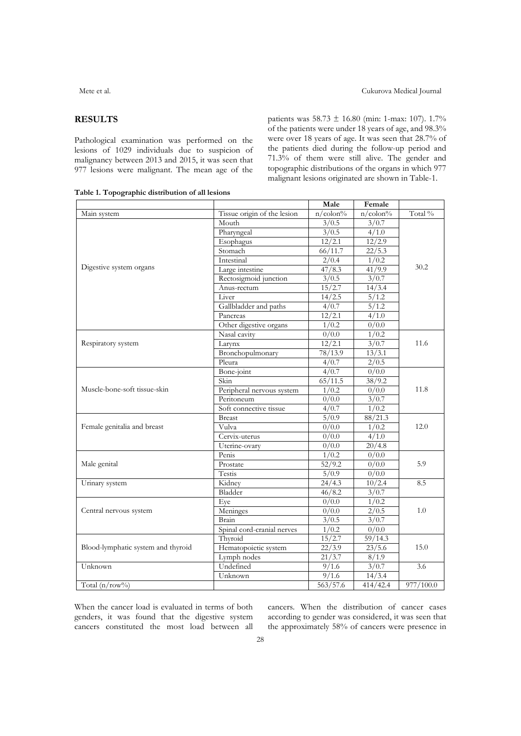# **RESULTS**

Pathological examination was performed on the lesions of 1029 individuals due to suspicion of malignancy between 2013 and 2015, it was seen that 977 lesions were malignant. The mean age of the patients was 58.73 ± 16.80 (min: 1-max: 107). 1.7% of the patients were under 18 years of age, and 98.3% were over 18 years of age. It was seen that 28.7% of the patients died during the follow-up period and 71.3% of them were still alive. The gender and topographic distributions of the organs in which 977 malignant lesions originated are shown in Table-1.

**Table 1. Topographic distribution of all lesions**

|                                    |                             | Male                | Female                        |           |
|------------------------------------|-----------------------------|---------------------|-------------------------------|-----------|
| Main system                        | Tissue origin of the lesion | $n$ /colon%         | $\overline{n/\text{colon}}\%$ | Total %   |
|                                    | Mouth                       | 3/0.5               | 3/0.7                         |           |
|                                    | Pharyngeal                  | 3/0.5               | 4/1.0                         |           |
|                                    | Esophagus                   | 12/2.1              | 12/2.9                        |           |
|                                    | Stomach                     | 66/11.7             | 22/5.3                        |           |
|                                    | Intestinal                  | 2/0.4               | 1/0.2                         |           |
| Digestive system organs            | Large intestine             | 47/8.3              | 41/9.9                        | 30.2      |
|                                    | Rectosigmoid junction       | 3/0.5               | 3/0.7                         |           |
|                                    | Anus-rectum                 | 15/2.7              | 14/3.4                        |           |
|                                    | Liver                       | 14/2.5              | 5/1.2                         |           |
|                                    | Gallbladder and paths       | 4/0.7               | 5/1.2                         |           |
|                                    | Pancreas                    | 12/2.1              | 4/1.0                         |           |
|                                    | Other digestive organs      | 1/0.2               | 0/0.0                         |           |
|                                    | Nasal cavity                | 0/0.0               | 1/0.2                         |           |
| Respiratory system                 | Larynx                      | 12/2.1              | 3/0.7                         | 11.6      |
|                                    | Bronchopulmonary            | 78/13.9             | 13/3.1                        |           |
|                                    | Pleura                      | 4/0.7               | 2/0.5                         |           |
|                                    | Bone-joint                  | 4/0.7               | 0/0.0                         |           |
|                                    | Skin                        | $\frac{1}{65}/11.5$ | 38/9.2                        |           |
| Muscle-bone-soft tissue-skin       | Peripheral nervous system   | 1/0.2               | 0/0.0                         | 11.8      |
|                                    | Peritoneum                  | 0/0.0               | 3/0.7                         |           |
|                                    | Soft connective tissue      | 4/0.7               | 1/0.2                         |           |
|                                    | <b>Breast</b>               | 5/0.9               | 88/21.3                       |           |
| Female genitalia and breast        | Vulva                       | 0/0.0               | 1/0.2                         | 12.0      |
|                                    | Cervix-uterus               | 0/0.0               | 4/1.0                         |           |
|                                    | Uterine-ovary               | 0/0.0               | 20/4.8                        |           |
|                                    | Penis                       | 1/0.2               | 0/0.0                         |           |
| Male genital                       | Prostate                    | 52/9.2              | 0/0.0                         | 5.9       |
|                                    | Testis                      | 5/0.9               | 0/0.0                         |           |
| Urinary system                     | Kidney                      | 24/4.3              | 10/2.4                        | 8.5       |
|                                    | Bladder                     | 46/8.2              | 3/0.7                         |           |
|                                    | Eye                         | 0/0.0               | 1/0.2                         |           |
| Central nervous system             | Meninges                    | 0/0.0               | 2/0.5                         | 1.0       |
|                                    | Brain                       | 3/0.5               | 3/0.7                         |           |
|                                    | Spinal cord-cranial nerves  | 1/0.2               | 0/0.0                         |           |
|                                    | Thyroid                     | 15/2.7              | 59/14.3                       |           |
| Blood-lymphatic system and thyroid | Hematopoietic system        | 22/3.9              | 23/5.6                        | 15.0      |
|                                    | Lymph nodes                 | 21/3.7              | 8/1.9                         |           |
| Unknown                            | Undefined                   | 9/1.6               | 3/0.7                         | 3.6       |
|                                    | Unknown                     | 9/1.6               | 14/3.4                        |           |
| Total $(n/row\%)$                  |                             | 563/57.6            | 414/42.4                      | 977/100.0 |

When the cancer load is evaluated in terms of both genders, it was found that the digestive system cancers constituted the most load between all cancers. When the distribution of cancer cases according to gender was considered, it was seen that the approximately 58% of cancers were presence in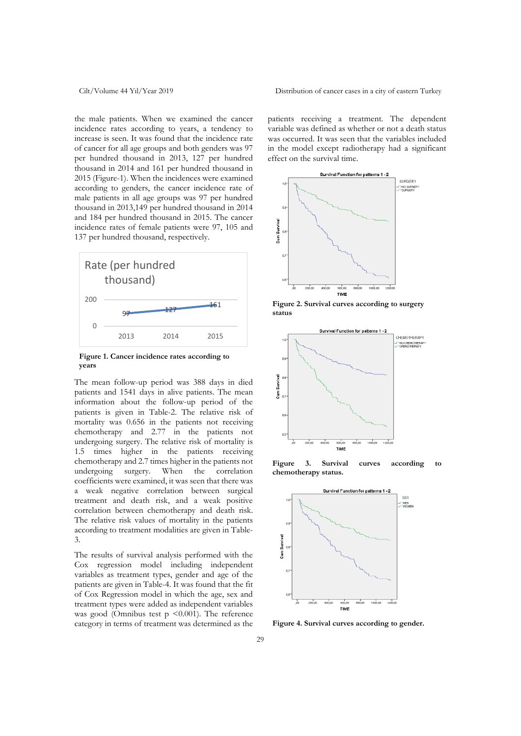the male patients. When we examined the cancer incidence rates according to years, a tendency to increase is seen. It was found that the incidence rate of cancer for all age groups and both genders was 97 per hundred thousand in 2013, 127 per hundred thousand in 2014 and 161 per hundred thousand in 2015 (Figure-1). When the incidences were examined according to genders, the cancer incidence rate of male patients in all age groups was 97 per hundred thousand in 2013,149 per hundred thousand in 2014 and 184 per hundred thousand in 2015. The cancer incidence rates of female patients were 97, 105 and 137 per hundred thousand, respectively.



**Figure 1. Cancer incidence rates according to years**

The mean follow-up period was 388 days in died patients and 1541 days in alive patients. The mean information about the follow-up period of the patients is given in Table-2. The relative risk of mortality was 0.656 in the patients not receiving chemotherapy and 2.77 in the patients not undergoing surgery. The relative risk of mortality is 1.5 times higher in the patients receiving chemotherapy and 2.7 times higher in the patients not undergoing surgery. When the correlation coefficients were examined, it was seen that there was a weak negative correlation between surgical treatment and death risk, and a weak positive correlation between chemotherapy and death risk. The relative risk values of mortality in the patients according to treatment modalities are given in Table-3.

The results of survival analysis performed with the Cox regression model including independent variables as treatment types, gender and age of the patients are given in Table-4. It was found that the fit of Cox Regression model in which the age, sex and treatment types were added as independent variables was good (Omnibus test  $p \leq 0.001$ ). The reference category in terms of treatment was determined as the

Cilt/Volume 44 Yıl/Year 2019 Distribution of cancer cases in a city of eastern Turkey

patients receiving a treatment. The dependent variable was defined as whether or not a death status was occurred. It was seen that the variables included in the model except radiotherapy had a significant effect on the survival time.



**Figure 2. Survival curves according to surgery status**



**Figure 3. Survival curves according to chemotherapy status.**



**Figure 4. Survival curves according to gender.**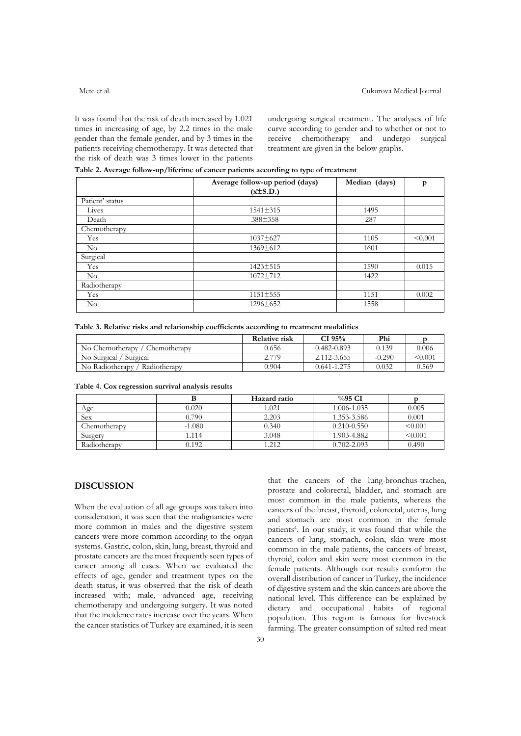It was found that the risk of death increased by 1.021 times in increasing of age, by 2.2 times in the male gender than the female gender, and by 3 times in the patients receiving chemotherapy. It was detected that the risk of death was 3 times lower in the patients undergoing surgical treatment. The analyses of life curve according to gender and to whether or not to receive chemotherapy and undergo surgical treatment are given in the below graphs.

**Table 2. Average follow-up/lifetime of cancer patients according to type of treatment**

|                 | Average follow-up period (days) | Median (days) | p       |  |
|-----------------|---------------------------------|---------------|---------|--|
|                 | $(x\pm S.D.)$                   |               |         |  |
| Patient' status |                                 |               |         |  |
| Lives           | $1541 \pm 315$                  | 1495          |         |  |
| Death           | 388±358                         | 287           |         |  |
| Chemotherapy    |                                 |               |         |  |
| Yes             | $1037 \pm 627$                  | 1105          | < 0.001 |  |
| $\rm No$        | $1369 \pm 612$                  | 1601          |         |  |
| Surgical        |                                 |               |         |  |
| Yes             | $1423 \pm 515$                  | 1590          | 0.015   |  |
| $\rm No$        | $1072 + 712$                    | 1422          |         |  |
| Radiotherapy    |                                 |               |         |  |
| Yes             | 1151±555                        | 1151          | 0.002   |  |
| $\rm No$        | $1296 \pm 652$                  | 1558          |         |  |

|  |  |  |  |  |  |  |  |  |  | Table 3. Relative risks and relationship coefficients according to treatment modalities |  |  |  |
|--|--|--|--|--|--|--|--|--|--|-----------------------------------------------------------------------------------------|--|--|--|
|--|--|--|--|--|--|--|--|--|--|-----------------------------------------------------------------------------------------|--|--|--|

|                                 | <b>Relative risk</b> | CI $95%$        | Phi      |              |
|---------------------------------|----------------------|-----------------|----------|--------------|
| No Chemotherapy<br>Chemotherapy | 0.656                | $0.482 - 0.893$ | 0.139    | 0.006        |
| No Surgical / Surgical          | 2.779                | 2.112-3.655     | $-0.290$ | $\leq 0.001$ |
| No Radiotherapy<br>Radiotherapy | 0.904                | $0.641 - 1.275$ | 0.032    | 0.569        |

### **Table 4. Cox regression survival analysis results**

|              |          | Hazard ratio | $\%95 \text{ CI}$ |         |
|--------------|----------|--------------|-------------------|---------|
| Age          | 0.020    | 1.021        | 1.006-1.035       | 0.005   |
| <b>Sex</b>   | 0.790    | 2.203        | 1.353-3.586       | 0.001   |
| Chemotherapy | $-1.080$ | 0.340        | $0.210 - 0.550$   | < 0.001 |
| Surgery      | 1.114    | 3.048        | 1.903-4.882       | < 0.001 |
| Radiotherapy | 0.192    | 1.212        | $0.702 - 2.093$   | 0.490   |

### **DISCUSSION**

When the evaluation of all age groups was taken into consideration, it was seen that the malignancies were more common in males and the digestive system cancers were more common according to the organ systems. Gastric, colon, skin, lung, breast, thyroid and prostate cancers are the most frequently seen types of cancer among all cases. When we evaluated the effects of age, gender and treatment types on the death status, it was observed that the risk of death increased with; male, advanced age, receiving chemotherapy and undergoing surgery. It was noted that the incidence rates increase over the years. When the cancer statistics of Turkey are examined, it is seen

that the cancers of the lung-bronchus-trachea, prostate and colorectal, bladder, and stomach are most common in the male patients, whereas the cancers of the breast, thyroid, colorectal, uterus, lung and stomach are most common in the female patients4. In our study, it was found that while the cancers of lung, stomach, colon, skin were most common in the male patients, the cancers of breast, thyroid, colon and skin were most common in the female patients. Although our results conform the overall distribution of cancer in Turkey, the incidence of digestive system and the skin cancers are above the national level. This difference can be explained by dietary and occupational habits of regional population. This region is famous for livestock farming. The greater consumption of salted red meat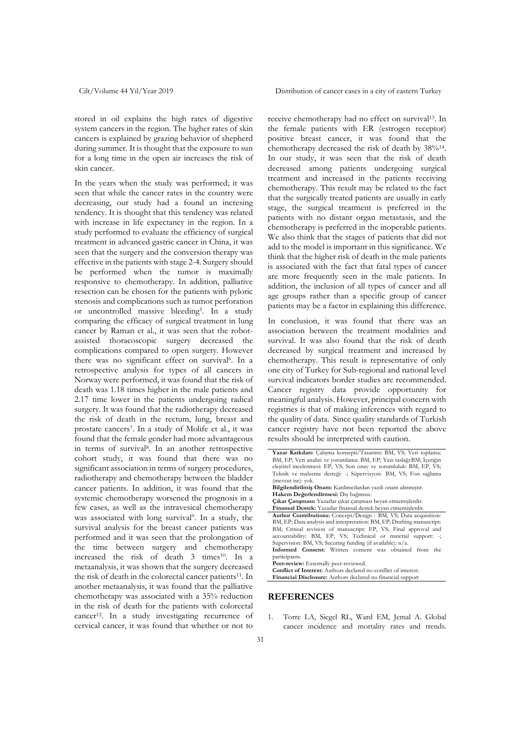stored in oil explains the high rates of digestive system cancers in the region. The higher rates of skin cancers is explained by grazing behavior of shepherd during summer. It is thought that the exposure to sun for a long time in the open air increases the risk of skin cancer.

In the years when the study was performed; it was seen that while the cancer rates in the country were decreasing, our study had a found an incresing tendency. It is thought that this tendency was related with increase in life expectancy in the region. In a study performed to evaluate the efficiency of surgical treatment in advanced gastric cancer in China, it was seen that the surgery and the conversion therapy was effective in the patients with stage 2-4. Surgery should be performed when the tumor is maximally responsive to chemotherapy. In addition, palliative resection can be chosen for the patients with pyloric stenosis and complications such as tumor perforation or uncontrolled massive bleeding5. In a study comparing the efficacy of surgical treatment in lung cancer by Raman et al., it was seen that the robotassisted thoracoscopic surgery decreased the complications compared to open surgery. However there was no significant effect on survival<sup>6</sup>. In a retrospective analysis for types of all cancers in Norway were performed, it was found that the risk of death was 1.18 times higher in the male patients and 2.17 time lower in the patients undergoing radical surgery. It was found that the radiotherapy decreased the risk of death in the rectum, lung, breast and prostate cancers7. In a study of Molife et al., it was found that the female gender had more advantageous in terms of survival8. In an another retrospective cohort study, it was found that there was no significant association in terms of surgery procedures, radiotherapy and chemotherapy between the bladder cancer patients. In addition, it was found that the systemic chemotherapy worsened the prognosis in a few cases, as well as the intravesical chemotherapy was associated with long survival9. In a study, the survival analysis for the breast cancer patients was performed and it was seen that the prolongation of the time between surgery and chemotherapy increased the risk of death 3 times<sup>10</sup>. In a metaanalysis, it was shown that the surgery decreased the risk of death in the colorectal cancer patients<sup>11</sup>. In another metaanalysis, it was found that the palliative chemotherapy was associated with a 35% reduction in the risk of death for the patients with colorectal cancer<sup>12</sup>. In a study investigating recurrence of cervical cancer, it was found that whether or not to

Cilt/Volume 44 Yıl/Year 2019 Distribution of cancer cases in a city of eastern Turkey

receive chemotherapy had no effect on survival<sup>13</sup>. In the female patients with ER (estrogen receptor) positive breast cancer, it was found that the chemotherapy decreased the risk of death by 38%<sup>14</sup>. In our study, it was seen that the risk of death decreased among patients undergoing surgical treatment and increased in the patients receiving chemotherapy. This result may be related to the fact that the surgically treated patients are usually in early stage, the surgical treatment is preferred in the patients with no distant organ metastasis, and the chemotherapy is preferred in the inoperable patients. We also think that the stages of patients that did not add to the model is important in this significance. We think that the higher risk of death in the male patients is associated with the fact that fatal types of cancer are more frequently seen in the male patients. In addition, the inclusion of all types of cancer and all age groups rather than a specific group of cancer patients may be a factor in explaining this difference.

In conclusion, it was found that there was an association between the treatment modalities and survival. It was also found that the risk of death decreased by surgical treatment and increased by chemotherapy. This result is representative of only one city of Turkey for Sub-regional and national level survival indicators border studies are recommended. Cancer registry data provide opportunity for meaningful analysis. However, principal concern with registries is that of making inferences with regard to the quality of data. Since quality standards of Turkish cancer registry have not been reported the above results should be interpreted with caution.

**Bilgilendirilmiş Onam:** Katılımcılardan yazılı onam alınmıştır. **Hakem Değerlendirmesi:** Dış bağımsız.

**Çıkar Çatışması:** Yazarlar çıkar çatışması beyan etmemişlerdir.

**Finansal Destek:** Yazarlar finansal destek beyan etmemişlerdir. **Author Contributions:** Concept/Design : BM, VS; Data acquisition: BM, EP; Data analysis and interpretation: BM, EP; Drafting manuscript: BM; Critical revision of manuscript: EP, VS; Final approval and accountability: BM, EP, VS; Technical or material support: -; Supervision: BM, VS; Securing funding (if available): n/a. **Informed Consent:** Written consent was obtained from the

participants. Peer-review: Externally peer-reviewed.

**Conflict of Interest:** Authors declared no conflict of interest.

**Financial Disclosure:** Authors declared no financial support

## **REFERENCES**

1. Torre LA, Siegel RL, Ward EM, Jemal A. Global cancer incidence and mortality rates and trends.

**Yazar Katkıları:** Çalışma konsepti/Tasarımı: BM, VS; Veri toplama: BM, EP; Veri analizi ve yorumlama: BM, EP; Yazı taslağı:BM; İçeriğin eleştirel incelenmesi: EP, VS; Son onay ve sorumluluk: BM, EP, VS; Teknik ve malzeme desteği: -; Süpervizyon: BM, VS; Fon sağlama (mevcut ise): yok.